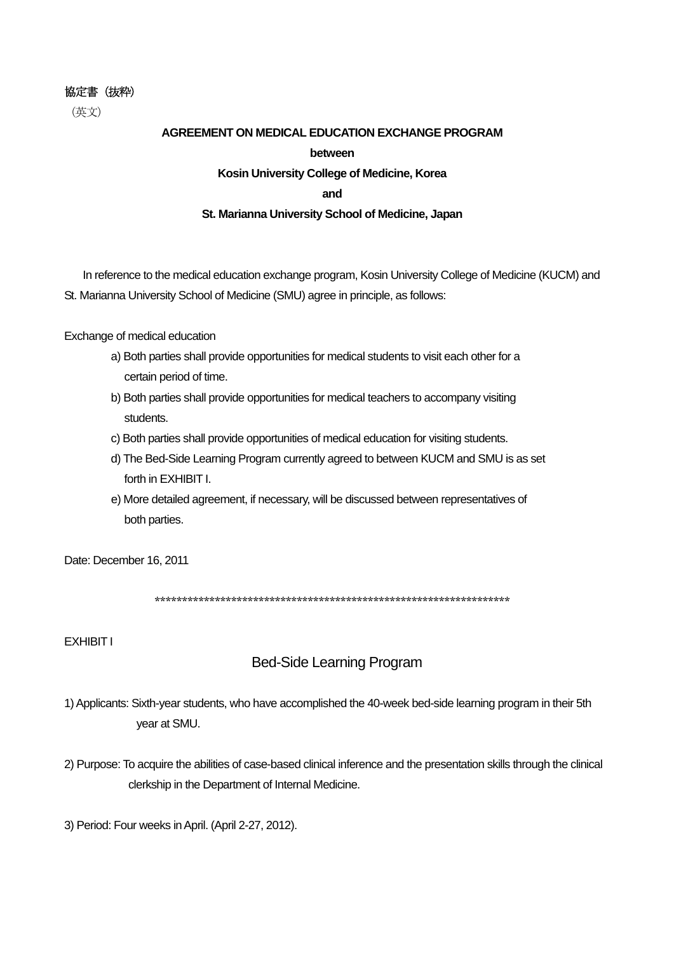#### 協定書(抜粋)

(英文)

# **AGREEMENT ON MEDICAL EDUCATION EXCHANGE PROGRAM between Kosin University College of Medicine, Korea and St. Marianna University School of Medicine, Japan**

In reference to the medical education exchange program, Kosin University College of Medicine (KUCM) and St. Marianna University School of Medicine (SMU) agree in principle, as follows:

Exchange of medical education

- a) Both parties shall provide opportunities for medical students to visit each other for a certain period of time.
- b) Both parties shall provide opportunities for medical teachers to accompany visiting students.
- c) Both parties shall provide opportunities of medical education for visiting students.
- d) The Bed-Side Learning Program currently agreed to between KUCM and SMU is as set forth in EXHIBIT I.
- e) More detailed agreement, if necessary, will be discussed between representatives of both parties.

Date: December 16, 2011

\*\*\*\*\*\*\*\*\*\*\*\*\*\*\*\*\*\*\*\*\*\*\*\*\*\*\*\*\*\*\*\*\*\*\*\*\*\*\*\*\*\*\*\*\*\*\*\*\*\*\*\*\*\*\*\*\*\*\*\*\*\*\*\*\*

EXHIBIT I

## Bed-Side Learning Program

- 1) Applicants: Sixth-year students, who have accomplished the 40-week bed-side learning program in their 5th year at SMU.
- 2) Purpose: To acquire the abilities of case-based clinical inference and the presentation skills through the clinical clerkship in the Department of Internal Medicine.
- 3) Period: Four weeks in April. (April 2-27, 2012).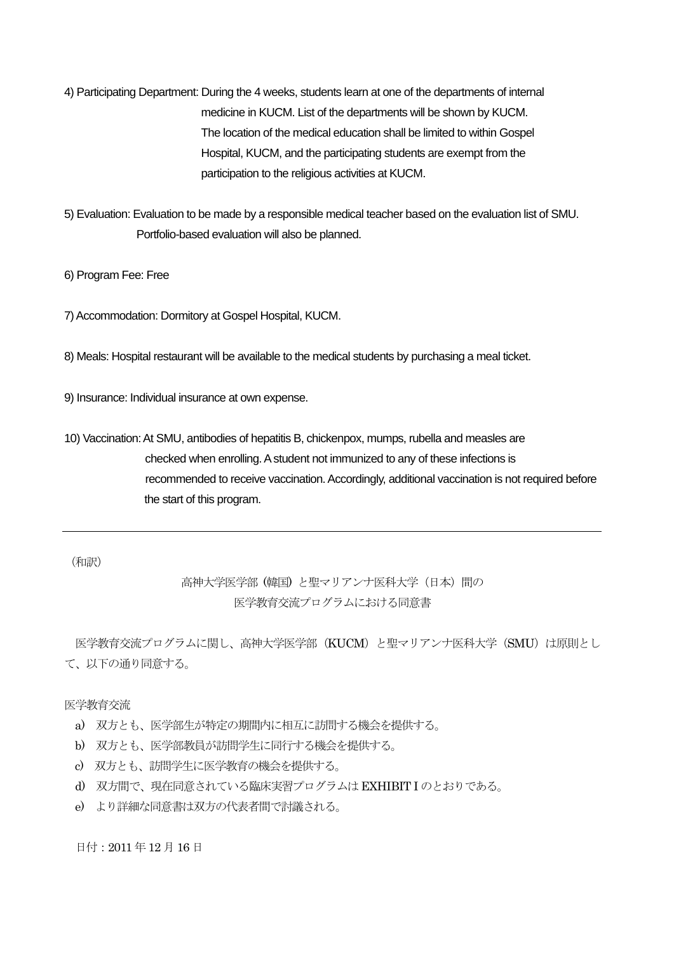- 4) Participating Department: During the 4 weeks, students learn at one of the departments of internal medicine in KUCM. List of the departments will be shown by KUCM. The location of the medical education shall be limited to within Gospel Hospital, KUCM, and the participating students are exempt from the participation to the religious activities at KUCM.
- 5) Evaluation: Evaluation to be made by a responsible medical teacher based on the evaluation list of SMU. Portfolio-based evaluation will also be planned.
- 6) Program Fee: Free
- 7) Accommodation: Dormitory at Gospel Hospital, KUCM.
- 8) Meals: Hospital restaurant will be available to the medical students by purchasing a meal ticket.
- 9) Insurance: Individual insurance at own expense.
- 10) Vaccination: At SMU, antibodies of hepatitis B, chickenpox, mumps, rubella and measles are checked when enrolling. A student not immunized to any of these infections is recommended to receive vaccination. Accordingly, additional vaccination is not required before the start of this program.

(和訳)

### 高神大学医学部 (韓国) と聖マリアンナ医科大学(日本)間の 医学教育交流プログラムにおける同意書

医学教育交流プログラムに関し、高神大学医学部 (KUCM) と聖マリアンナ医科大学 (SMU) は原則とし て、以下の通り同意する。

#### 医学教育交流

- a) 双方とも、医学部生が特定の期間内に相互に訪問する機会を提供する。
- b) 双方とも、医学部教員が訪問学生に同行する機会を提供する。
- c) 双方とも、訪問学生に医学教育の機会を提供する。
- d) 双方間で、現在同意されている臨床実習プログラムはEXHIBIT I のとおりである。
- e) より詳細な同意書は双方の代表者間で討議される。

日付:2011 年12 月16 日